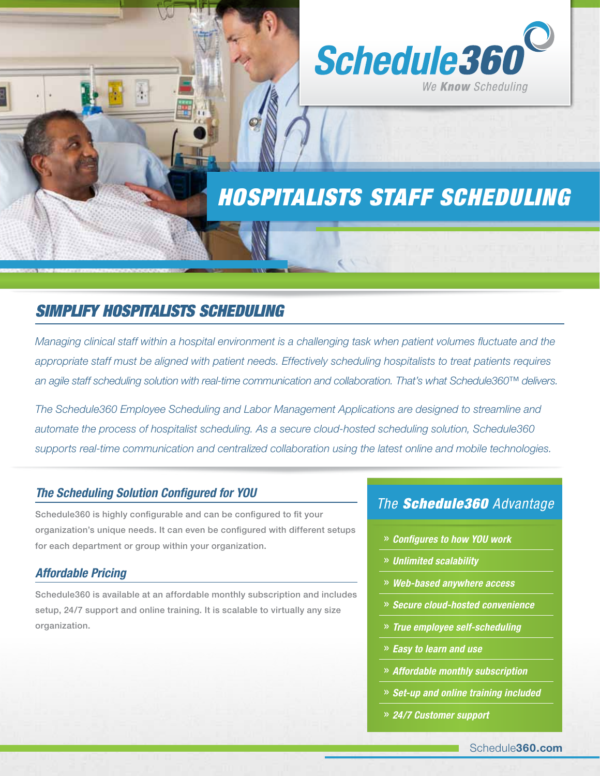

# *HOSPITALISTS STAFF SCHEDULING*

 $\sqrt{1}$ 

## *Simplify Hospitalists Scheduling*

*Managing clinical staff within a hospital environment is a challenging task when patient volumes fluctuate and the*  appropriate staff must be aligned with patient needs. Effectively scheduling hospitalists to treat patients requires *an agile staff scheduling solution with real-time communication and collaboration. That's what Schedule360™ delivers.* 

*The Schedule360 Employee Scheduling and Labor Management Applications are designed to streamline and automate the process of hospitalist scheduling. As a secure cloud-hosted scheduling solution, Schedule360 supports real-time communication and centralized collaboration using the latest online and mobile technologies.* 

#### *The Scheduling Solution Configured for YOU*

Schedule360 is highly configurable and can be configured to fit your organization's unique needs. It can even be configured with different setups for each department or group within your organization.

#### *Affordable Pricing*

Schedule360 is available at an affordable monthly subscription and includes setup, 24/7 support and online training. It is scalable to virtually any size organization.

### *The Schedule360 Advantage*

- » *Configures to how YOU work*
- » *Unlimited scalability*
- » *Web-based anywhere access*
- » *Secure cloud-hosted convenience*
- » *True employee self-scheduling*
- » *Easy to learn and use*
- » *Affordable monthly subscription*
- » *Set-up and online training included*
- » *24/7 Customer support*